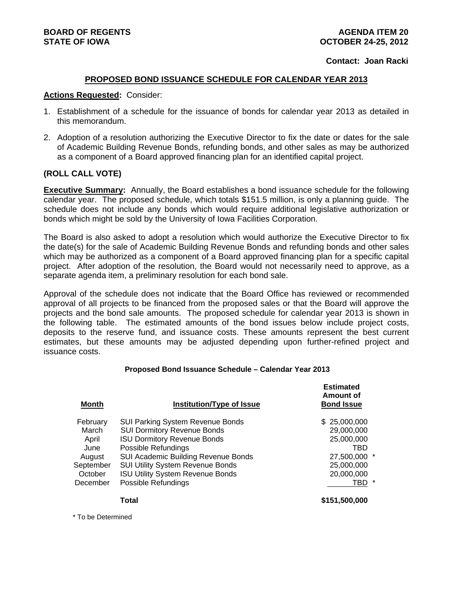### **Contact: Joan Racki**

### **PROPOSED BOND ISSUANCE SCHEDULE FOR CALENDAR YEAR 2013**

#### **Actions Requested:** Consider:

- 1. Establishment of a schedule for the issuance of bonds for calendar year 2013 as detailed in this memorandum.
- 2. Adoption of a resolution authorizing the Executive Director to fix the date or dates for the sale of Academic Building Revenue Bonds, refunding bonds, and other sales as may be authorized as a component of a Board approved financing plan for an identified capital project.

### **(ROLL CALL VOTE)**

**Executive Summary:** Annually, the Board establishes a bond issuance schedule for the following calendar year. The proposed schedule, which totals \$151.5 million, is only a planning guide. The schedule does not include any bonds which would require additional legislative authorization or bonds which might be sold by the University of Iowa Facilities Corporation.

The Board is also asked to adopt a resolution which would authorize the Executive Director to fix the date(s) for the sale of Academic Building Revenue Bonds and refunding bonds and other sales which may be authorized as a component of a Board approved financing plan for a specific capital project. After adoption of the resolution, the Board would not necessarily need to approve, as a separate agenda item, a preliminary resolution for each bond sale.

Approval of the schedule does not indicate that the Board Office has reviewed or recommended approval of all projects to be financed from the proposed sales or that the Board will approve the projects and the bond sale amounts. The proposed schedule for calendar year 2013 is shown in the following table. The estimated amounts of the bond issues below include project costs, deposits to the reserve fund, and issuance costs. These amounts represent the best current estimates, but these amounts may be adjusted depending upon further-refined project and issuance costs.

### **Proposed Bond Issuance Schedule – Calendar Year 2013**

| <b>Month</b> | Institution/Type of Issue               | <b>Estimated</b><br>Amount of<br><b>Bond Issue</b> |
|--------------|-----------------------------------------|----------------------------------------------------|
| February     | <b>SUI Parking System Revenue Bonds</b> | \$25,000,000                                       |
| March        | <b>SUI Dormitory Revenue Bonds</b>      | 29,000,000                                         |
| April        | <b>ISU Dormitory Revenue Bonds</b>      | 25,000,000                                         |
| June         | Possible Refundings                     | TBD                                                |
| August       | SUI Academic Building Revenue Bonds     | 27,500,000 *                                       |
| September    | <b>SUI Utility System Revenue Bonds</b> | 25,000,000                                         |
| October      | <b>ISU Utility System Revenue Bonds</b> | 20,000,000                                         |
| December     | Possible Refundings                     | TBD *                                              |
|              | Total                                   | \$151,500,000                                      |
|              |                                         |                                                    |

\* To be Determined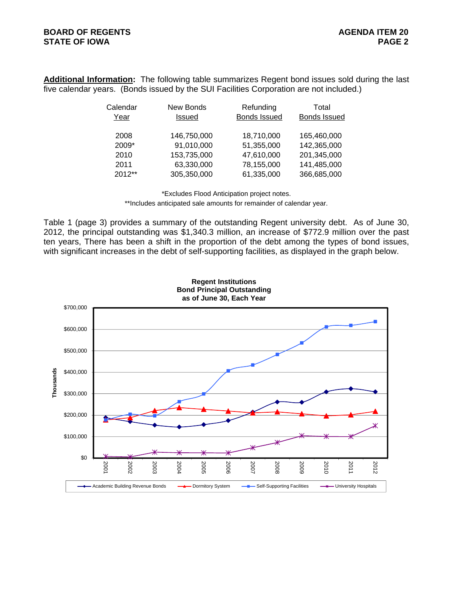**Additional Information:** The following table summarizes Regent bond issues sold during the last five calendar years. (Bonds issued by the SUI Facilities Corporation are not included.)

| Calendar | New Bonds   | Refunding           | Total        |
|----------|-------------|---------------------|--------------|
| Year     | Issued      | <b>Bonds Issued</b> | Bonds Issued |
|          |             |                     |              |
| 2008     | 146,750,000 | 18,710,000          | 165,460,000  |
| 2009*    | 91,010,000  | 51,355,000          | 142,365,000  |
| 2010     | 153,735,000 | 47,610,000          | 201,345,000  |
| 2011     | 63,330,000  | 78,155,000          | 141,485,000  |
| 2012**   | 305,350,000 | 61,335,000          | 366,685,000  |

\*Excludes Flood Anticipation project notes.

\*\*Includes anticipated sale amounts for remainder of calendar year.

Table 1 (page 3) provides a summary of the outstanding Regent university debt. As of June 30, 2012, the principal outstanding was \$1,340.3 million, an increase of \$772.9 million over the past ten years, There has been a shift in the proportion of the debt among the types of bond issues, with significant increases in the debt of self-supporting facilities, as displayed in the graph below.

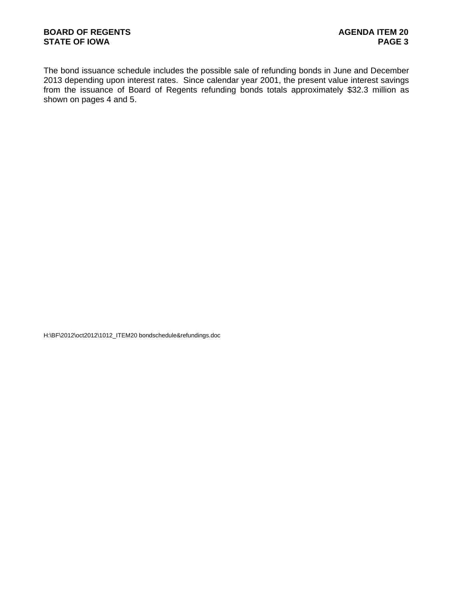The bond issuance schedule includes the possible sale of refunding bonds in June and December 2013 depending upon interest rates. Since calendar year 2001, the present value interest savings from the issuance of Board of Regents refunding bonds totals approximately \$32.3 million as shown on pages 4 and 5.

H:\BF\2012\oct2012\1012\_ITEM20 bondschedule&refundings.doc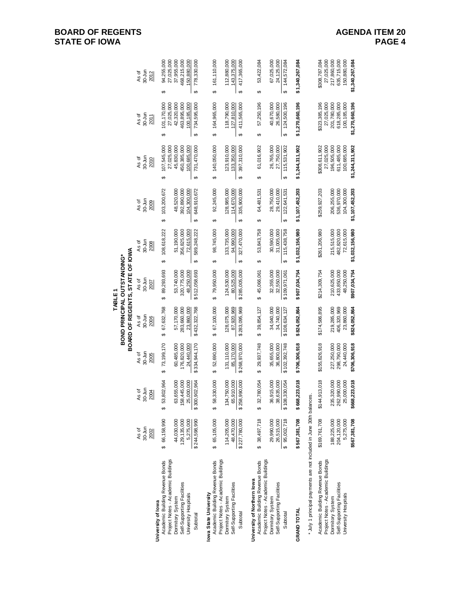# **BOARD OF REGENTS<br>STATE OF IOWA**

# **AGENDA ITEM 20<br>PAGE 4**

|                                                                       |                          |                                                  |                           |                           | ABLE1                           |                           |                            |                                |                                 |                               |
|-----------------------------------------------------------------------|--------------------------|--------------------------------------------------|---------------------------|---------------------------|---------------------------------|---------------------------|----------------------------|--------------------------------|---------------------------------|-------------------------------|
|                                                                       |                          |                                                  |                           |                           | BOND PRINCIPAL OUTSTANDING*     |                           |                            |                                |                                 |                               |
|                                                                       |                          |                                                  |                           |                           | BOARD OF REGENTS, STATE OF IOWA |                           |                            |                                |                                 |                               |
|                                                                       | As of                    | As of                                            | As of                     | As of                     | As of                           | As of                     | As of                      | As of                          | As of                           | As of                         |
|                                                                       | $30 - Jun$               | $30 - Jun$                                       | 30-Jun                    | 30-Jun                    | 30-Jun                          | 30-Jun                    | 30-Jun                     | 30-Jun                         | 30-Jun                          | 30-Jun                        |
|                                                                       | 2002                     | <b>2004</b>                                      | 2005                      | 2006                      | 2007                            | 2008                      | 2009                       | 2010                           | 2011                            | 2012                          |
| University of lowa                                                    |                          |                                                  |                           |                           |                                 |                           |                            |                                |                                 |                               |
| Project Notes - Academic Buildings<br>Academic Building Revenue Bonds | 66,158,990<br>↔          | 53,802,964<br>↮                                  | 73,199,170<br>မာ          | 67,632,768<br>↔           | 89,293,693<br>↔                 | 108,618,222<br>↮          | 103,200,672<br>↮           | 107,545,000<br>27,025,000<br>↔ | 101,170,000<br>27,025,000<br>မာ | 94,255,000<br>27,025,000<br>↮ |
| Dormitory System                                                      | 44,030,000               | 63,655,000                                       | 60,485,000                | 57,170,000                | 53,740,000                      | 51,190,000                | 48,520,000                 | 45,830,000                     | 42,320,000                      | 37,955,000                    |
| Self-Supporting Facilities                                            | 129, 135, 000            |                                                  | 76,820,000                | 283,660,000               | 320,775,000                     | 356,825,000               | 392,890,000                | 450,385,000                    | 463,895,000                     | 468,215,000                   |
| University Hospitals                                                  | 5,275,000                | 158, 445, 000<br>25, 000, 000<br>\$300, 902, 964 | 24,440,000                | 23,860,000                | 48,250,000                      | 72,615,000                | 104,300,000                | 100,685,000                    | 100,185,000                     | 150,880,000                   |
| Subtotal                                                              | \$244,598,990            |                                                  | \$334,944,170             | \$432,322,768             | \$512,058,693                   | 589,248,222<br>မာ         | 648,910,672<br>မာ          | 731,470,000<br>မာ              | 734,595,000<br>မာ               | 778,330,000<br>$\theta$       |
| owa State University                                                  |                          |                                                  |                           |                           |                                 |                           |                            |                                |                                 |                               |
| Project Notes - Academic Buildings<br>Academic Building Revenue Bonds | \$ 65,105,000            | 58,330,000<br>မာ                                 | 52,690,000<br>မာ          | 67,100,000<br>မာ          | 79,950,000<br>မာ                | 98,745,000<br>↮           | 92,245,000<br>↮            | 140,050,000<br>↔               | 164,965,000<br>မာ               | 161,110,000<br>မာ             |
| Dormitory System                                                      | 114,205,000              | 134,750,000                                      | 131,110,000               | 128,075,000               | 124,530,000                     | 133,735,000               | 128,985,000                | 123,910,000                    | 118,790,000                     | 112,880,000                   |
| Self-Supporting Facilities                                            | 48,470,000               | 65,910,000                                       | 85,170,000                | 87,920,969                | 80,525,000                      | 94,990,000                | 114,670,000                | 133,350,000                    | 127,810,000                     | 143,375,000                   |
| Subtotal                                                              | \$227,780,000            | \$258,990,000                                    | \$268,970,000             | \$283,095,969             | \$285,005,000                   | 327,470,000<br>မာ         | 335,900,000<br>မာ          | 397,310,000<br>မာ              | 411,565,000<br>မာ               | 417,365,000<br>Ø              |
| University of Northern lowa                                           |                          |                                                  |                           |                           |                                 |                           |                            |                                |                                 |                               |
| Project Notes - Academic Buildings<br>Academic Building Revenue Bonds | \$38,497,718             | 32,780,054<br>↮                                  | 29,937,748<br>မာ          | 39,854,127<br>↔           | 45,066,061<br>မာ                | 53,843,758<br>↮           | 64,481,531<br>↮            | 61,016,902<br>↔                | 57,250,196<br>↮                 | 53,422,084<br>↮               |
| Dormitory System                                                      | 29,990,000               | 36,915,000                                       | 35,655,000                | 34,040,000                | 32, 355, 000                    | 30,590,000                | 28,750,000                 | 26,765,000                     | 40,670,000                      | 67,025,000                    |
| Self-Supporting Facilities                                            | 26,515,000               | 38,635,000                                       | 36,800,000                | 34,740,000                | 32,550,000                      | 31,005,000                | 29,410,000                 | 27,750,000                     | 26,580,000                      | 24,125,000                    |
| Subtotal                                                              | 95,002,718<br>$\theta$   | \$108,330,054                                    | \$102,392,748             | \$108,634,127             | \$109,971,061                   | 115,438,758<br>↮          | 122,641,531<br>↮           | 115,531,902<br>မာ              | 124,500,196<br>ക                | 144,572,084<br>↔              |
| <b>GRAND TOTAL</b>                                                    | \$567,381,708            | \$668,223,018                                    | \$706,306,918             | \$824,052,864             | \$907,034,754                   | \$1,032,156,980           | \$1,107,452,203            | \$1,244,311,902                | \$1,270,660,196                 | \$1,340,267,084               |
| * July 1 principal payments are not included in June 30th balanc      |                          | ë,                                               |                           |                           |                                 |                           |                            |                                |                                 |                               |
| Academic Building Revenue Bonds                                       | \$169,761,708            | \$144,913,018                                    | \$155,826,918             | \$174,586,895             | \$214,309,754                   | \$261,206,980             | \$259,927,203              | \$308,611,902                  | \$323,385,196                   | \$308,787,084                 |
| Project Notes - Academic Buildings                                    |                          |                                                  |                           |                           |                                 |                           |                            | 27,025,000                     | 27,025,000                      | 27,025,000                    |
| Dormitory System                                                      | 188,225,000              | 235, 320,000                                     | 227,250,000               | 219,285,000               | 210,625,000                     | 215,515,000               | 206,255,000                | 196,505,000                    | 201,780,000                     | 217,860,000                   |
| Self-Supporting Facilities<br>University Hospitals                    | 204,120,000<br>5,275,000 | 262,990,000<br>25,000,000                        | 298,790,000<br>24,440,000 | 406,320,969<br>23,860,000 | 48,250,000<br>433,850,000       | 482,820,000<br>72,615,000 | 536,970,000<br>104,300,000 | 611,485,000<br>100,685,000     | 100,185,000<br>618,285,000      | 635,715,000<br>150,880,000    |
|                                                                       |                          |                                                  |                           |                           |                                 |                           |                            |                                |                                 |                               |
|                                                                       | \$567,381,708            | \$668,223,018                                    | \$706,306,918             | \$824,052,864             | \$907.034.754                   | \$1,032,156,980           | \$1,107,452,203            | \$1,244,311,902                | \$1,270,660,196                 | \$1,340,267,084               |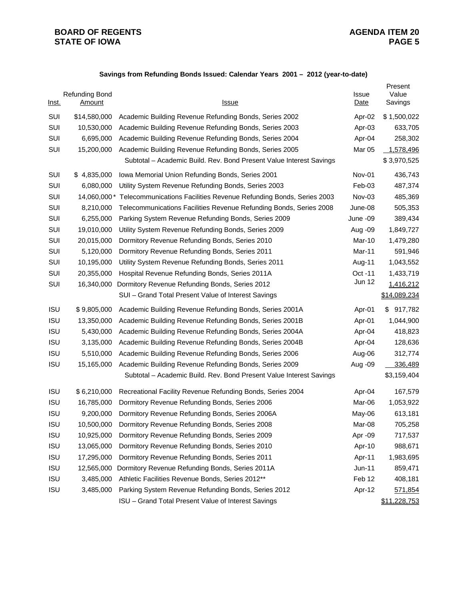## **BOARD OF REGENTS**<br> **BOARD OF REGENTS**<br> **BOARD OF IOWA**<br>
PAGE 5 **STATE OF IOWA**

## **Savings from Refunding Bonds Issued: Calendar Years 2001 – 2012 (year-to-date)**

| Inst.      | <b>Refunding Bond</b><br><u>Amount</u> | <u>Issue</u>                                                        | Issue<br>Date | Present<br>Value<br>Savings |
|------------|----------------------------------------|---------------------------------------------------------------------|---------------|-----------------------------|
| SUI        | \$14,580,000                           | Academic Building Revenue Refunding Bonds, Series 2002              | Apr-02        | \$1,500,022                 |
| SUI        | 10,530,000                             | Academic Building Revenue Refunding Bonds, Series 2003              | Apr-03        | 633,705                     |
| SUI        | 6,695,000                              | Academic Building Revenue Refunding Bonds, Series 2004              | Apr-04        | 258,302                     |
| SUI        | 15,200,000                             | Academic Building Revenue Refunding Bonds, Series 2005              | Mar 05        | 1,578,496                   |
|            |                                        | Subtotal - Academic Build. Rev. Bond Present Value Interest Savings |               | \$3,970,525                 |
| SUI        | \$4,835,000                            | Iowa Memorial Union Refunding Bonds, Series 2001                    | Nov-01        | 436,743                     |
| SUI        | 6,080,000                              | Utility System Revenue Refunding Bonds, Series 2003                 | Feb-03        | 487,374                     |
| SUI        | 14,060,000 *                           | Telecommunications Facilities Revenue Refunding Bonds, Series 2003  | Nov-03        | 485,369                     |
| SUI        | 8,210,000                              | Telecommunications Facilities Revenue Refunding Bonds, Series 2008  | June-08       | 505,353                     |
| SUI        | 6,255,000                              | Parking System Revenue Refunding Bonds, Series 2009                 | June -09      | 389,434                     |
| SUI        | 19,010,000                             | Utility System Revenue Refunding Bonds, Series 2009                 | Aug -09       | 1,849,727                   |
| SUI        | 20,015,000                             | Dormitory Revenue Refunding Bonds, Series 2010                      | Mar-10        | 1,479,280                   |
| SUI        | 5,120,000                              | Dormitory Revenue Refunding Bonds, Series 2011                      | Mar-11        | 591,946                     |
| SUI        | 10,195,000                             | Utility System Revenue Refunding Bonds, Series 2011                 | Aug-11        | 1,043,552                   |
| SUI        | 20,355,000                             | Hospital Revenue Refunding Bonds, Series 2011A                      | Oct -11       | 1,433,719                   |
| SUI        | 16,340,000                             | Dormitory Revenue Refunding Bonds, Series 2012                      | <b>Jun 12</b> | 1,416,212                   |
|            |                                        | SUI - Grand Total Present Value of Interest Savings                 |               | \$14,089,234                |
| <b>ISU</b> | \$9,805,000                            | Academic Building Revenue Refunding Bonds, Series 2001A             | Apr-01        | 917,782<br>\$               |
| <b>ISU</b> | 13,350,000                             | Academic Building Revenue Refunding Bonds, Series 2001B             | Apr-01        | 1,044,900                   |
| <b>ISU</b> | 5,430,000                              | Academic Building Revenue Refunding Bonds, Series 2004A             | Apr-04        | 418,823                     |
| <b>ISU</b> | 3,135,000                              | Academic Building Revenue Refunding Bonds, Series 2004B             | Apr-04        | 128,636                     |
| <b>ISU</b> | 5,510,000                              | Academic Building Revenue Refunding Bonds, Series 2006              | Aug-06        | 312,774                     |
| <b>ISU</b> | 15,165,000                             | Academic Building Revenue Refunding Bonds, Series 2009              | Aug -09       | 336,489                     |
|            |                                        | Subtotal - Academic Build. Rev. Bond Present Value Interest Savings |               | \$3,159,404                 |
| <b>ISU</b> | \$6,210,000                            | Recreational Facility Revenue Refunding Bonds, Series 2004          | Apr-04        | 167,579                     |
| <b>ISU</b> | 16,785,000                             | Dormitory Revenue Refunding Bonds, Series 2006                      | Mar-06        | 1,053,922                   |
| <b>ISU</b> | 9,200,000                              | Dormitory Revenue Refunding Bonds, Series 2006A                     | May-06        | 613,181                     |
| <b>ISU</b> | 10,500,000                             | Dormitory Revenue Refunding Bonds, Series 2008                      | Mar-08        | 705,258                     |
| <b>ISU</b> | 10,925,000                             | Dormitory Revenue Refunding Bonds, Series 2009                      | Apr -09       | 717,537                     |
| <b>ISU</b> | 13,065,000                             | Dormitory Revenue Refunding Bonds, Series 2010                      | Apr-10        | 988,671                     |
| <b>ISU</b> | 17,295,000                             | Dormitory Revenue Refunding Bonds, Series 2011                      | Apr-11        | 1,983,695                   |
| <b>ISU</b> | 12,565,000                             | Dormitory Revenue Refunding Bonds, Series 2011A                     | $Jun-11$      | 859,471                     |
| <b>ISU</b> | 3,485,000                              | Athletic Facilities Revenue Bonds, Series 2012**                    | Feb 12        | 408,181                     |
| <b>ISU</b> | 3,485,000                              | Parking System Revenue Refunding Bonds, Series 2012                 | Apr-12        | 571,854                     |
|            |                                        | ISU - Grand Total Present Value of Interest Savings                 |               | \$11,228,753                |